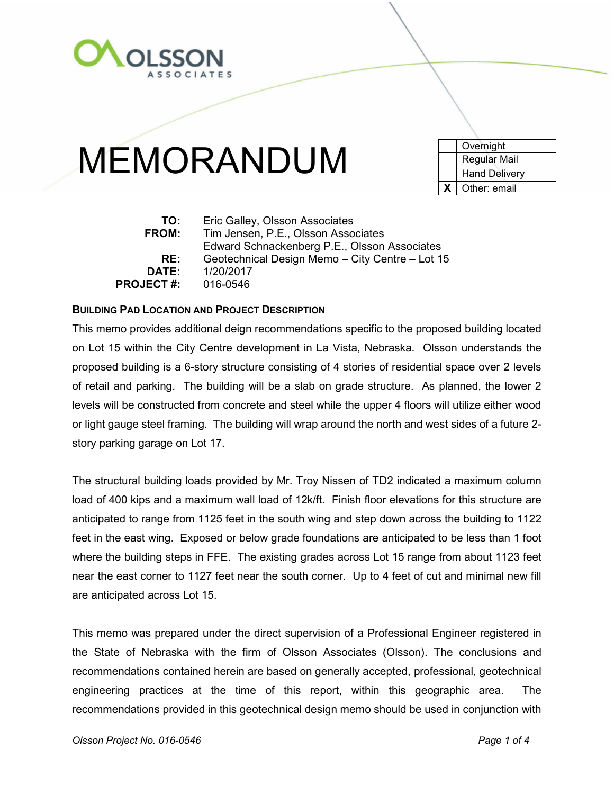

|  | <b>BUILDING PAD LOCATION AND PROJECT DESCRIPTION</b> |
|--|------------------------------------------------------|

**DATE:** 1/20/2017

**PROJECT #:** 016-0546

This memo provides additional deign recommendations specific to the proposed building located on Lot 15 within the City Centre development in La Vista, Nebraska. Olsson understands the proposed building is a 6-story structure consisting of 4 stories of residential space over 2 levels of retail and parking. The building will be a slab on grade structure. As planned, the lower 2 levels will be constructed from concrete and steel while the upper 4 floors will utilize either wood or light gauge steel framing. The building will wrap around the north and west sides of a future 2 story parking garage on Lot 17.

The structural building loads provided by Mr. Troy Nissen of TD2 indicated a maximum column load of 400 kips and a maximum wall load of 12k/ft. Finish floor elevations for this structure are anticipated to range from 1125 feet in the south wing and step down across the building to 1122 feet in the east wing. Exposed or below grade foundations are anticipated to be less than 1 foot where the building steps in FFE. The existing grades across Lot 15 range from about 1123 feet near the east corner to 1127 feet near the south corner. Up to 4 feet of cut and minimal new fill are anticipated across Lot 15.

This memo was prepared under the direct supervision of a Professional Engineer registered in the State of Nebraska with the firm of Olsson Associates (Olsson). The conclusions and recommendations contained herein are based on generally accepted, professional, geotechnical engineering practices at the time of this report, within this geographic area. The recommendations provided in this geotechnical design memo should be used in conjunction with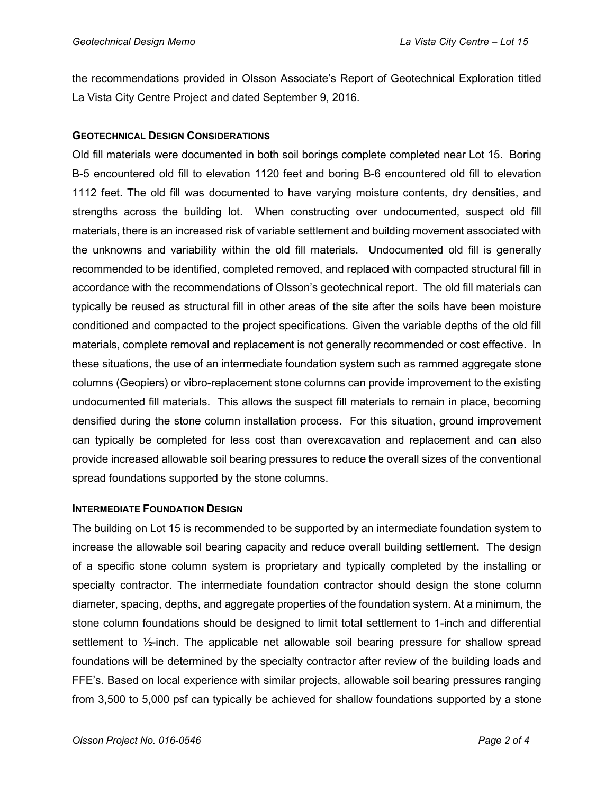the recommendations provided in Olsson Associate's Report of Geotechnical Exploration titled La Vista City Centre Project and dated September 9, 2016.

## **GEOTECHNICAL DESIGN CONSIDERATIONS**

Old fill materials were documented in both soil borings complete completed near Lot 15. Boring B-5 encountered old fill to elevation 1120 feet and boring B-6 encountered old fill to elevation 1112 feet. The old fill was documented to have varying moisture contents, dry densities, and strengths across the building lot. When constructing over undocumented, suspect old fill materials, there is an increased risk of variable settlement and building movement associated with the unknowns and variability within the old fill materials. Undocumented old fill is generally recommended to be identified, completed removed, and replaced with compacted structural fill in accordance with the recommendations of Olsson's geotechnical report. The old fill materials can typically be reused as structural fill in other areas of the site after the soils have been moisture conditioned and compacted to the project specifications. Given the variable depths of the old fill materials, complete removal and replacement is not generally recommended or cost effective. In these situations, the use of an intermediate foundation system such as rammed aggregate stone columns (Geopiers) or vibro-replacement stone columns can provide improvement to the existing undocumented fill materials. This allows the suspect fill materials to remain in place, becoming densified during the stone column installation process. For this situation, ground improvement can typically be completed for less cost than overexcavation and replacement and can also provide increased allowable soil bearing pressures to reduce the overall sizes of the conventional spread foundations supported by the stone columns.

### **INTERMEDIATE FOUNDATION DESIGN**

The building on Lot 15 is recommended to be supported by an intermediate foundation system to increase the allowable soil bearing capacity and reduce overall building settlement. The design of a specific stone column system is proprietary and typically completed by the installing or specialty contractor. The intermediate foundation contractor should design the stone column diameter, spacing, depths, and aggregate properties of the foundation system. At a minimum, the stone column foundations should be designed to limit total settlement to 1-inch and differential settlement to ½-inch. The applicable net allowable soil bearing pressure for shallow spread foundations will be determined by the specialty contractor after review of the building loads and FFE's. Based on local experience with similar projects, allowable soil bearing pressures ranging from 3,500 to 5,000 psf can typically be achieved for shallow foundations supported by a stone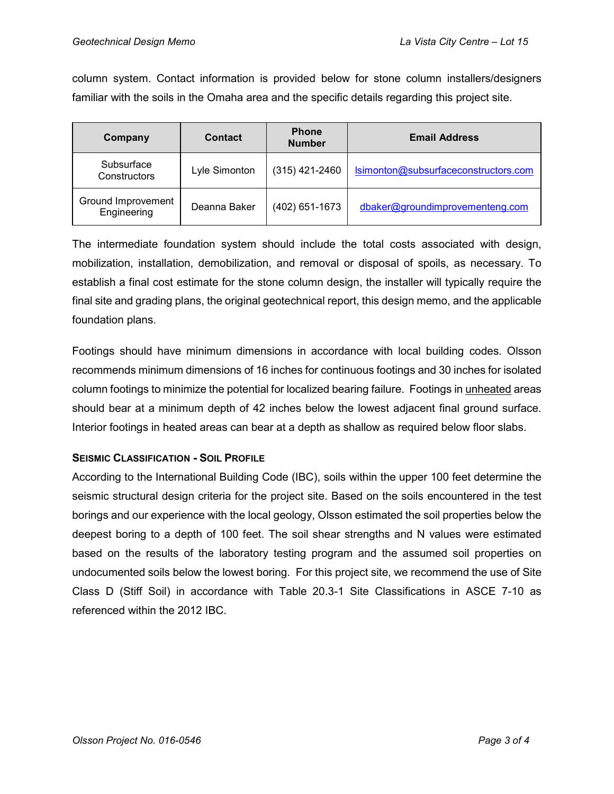column system. Contact information is provided below for stone column installers/designers familiar with the soils in the Omaha area and the specific details regarding this project site.

| Company                           | <b>Contact</b> | <b>Phone</b><br><b>Number</b> | <b>Email Address</b>                 |
|-----------------------------------|----------------|-------------------------------|--------------------------------------|
| Subsurface<br>Constructors        | Lyle Simonton  | $(315)$ 421-2460              | Isimonton@subsurfaceconstructors.com |
| Ground Improvement<br>Engineering | Deanna Baker   | (402) 651-1673                | dbaker@groundimprovementeng.com      |

The intermediate foundation system should include the total costs associated with design, mobilization, installation, demobilization, and removal or disposal of spoils, as necessary. To establish a final cost estimate for the stone column design, the installer will typically require the final site and grading plans, the original geotechnical report, this design memo, and the applicable foundation plans.

Footings should have minimum dimensions in accordance with local building codes. Olsson recommends minimum dimensions of 16 inches for continuous footings and 30 inches for isolated column footings to minimize the potential for localized bearing failure. Footings in unheated areas should bear at a minimum depth of 42 inches below the lowest adjacent final ground surface. Interior footings in heated areas can bear at a depth as shallow as required below floor slabs.

### **SEISMIC CLASSIFICATION - SOIL PROFILE**

According to the International Building Code (IBC), soils within the upper 100 feet determine the seismic structural design criteria for the project site. Based on the soils encountered in the test borings and our experience with the local geology, Olsson estimated the soil properties below the deepest boring to a depth of 100 feet. The soil shear strengths and N values were estimated based on the results of the laboratory testing program and the assumed soil properties on undocumented soils below the lowest boring. For this project site, we recommend the use of Site Class D (Stiff Soil) in accordance with Table 20.3-1 Site Classifications in ASCE 7-10 as referenced within the 2012 IBC.